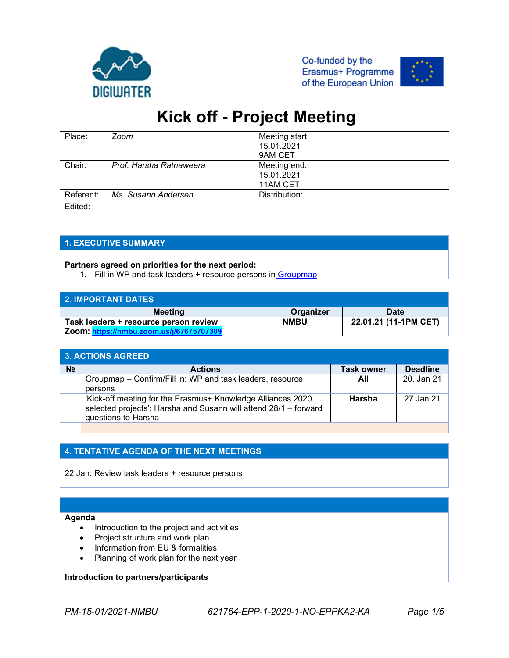





| Place:    | Zoom                    | Meeting start: |
|-----------|-------------------------|----------------|
|           |                         | 15.01.2021     |
|           |                         | 9AM CET        |
| Chair:    | Prof. Harsha Ratnaweera | Meeting end:   |
|           |                         | 15.01.2021     |
|           |                         | 11AM CET       |
| Referent: | Ms. Susann Andersen     | Distribution:  |
| Edited:   |                         |                |

### **1. EXECUTIVE SUMMARY**

#### **Partners agreed on priorities for the next period:**

1. Fill in WP and task leaders + resource persons in [Groupmap](https://maps.groupmap.com/maps/lscbs1f0dQFx/participants/YkmM79SBGZm9?accessKey=6iqJWXh6UnUd6iaWlv580XwufnJb5JqR)

| 2. IMPORTANT DATES                       |             |                       |
|------------------------------------------|-------------|-----------------------|
| <b>Meeting</b>                           | Organizer   | <b>Date</b>           |
| Task leaders + resource person review    | <b>NMBU</b> | 22.01.21 (11-1PM CET) |
| Zoom: https://nmbu.zoom.us/j/67675707309 |             |                       |

| <b>3. ACTIONS AGREED</b> |                                                                                                                                                        |                   |                 |  |  |
|--------------------------|--------------------------------------------------------------------------------------------------------------------------------------------------------|-------------------|-----------------|--|--|
| N <sub>2</sub>           | <b>Actions</b>                                                                                                                                         | <b>Task owner</b> | <b>Deadline</b> |  |  |
|                          | Groupmap - Confirm/Fill in: WP and task leaders, resource<br>persons                                                                                   | All               | 20. Jan 21      |  |  |
|                          | 'Kick-off meeting for the Erasmus+ Knowledge Alliances 2020<br>selected projects': Harsha and Susann will attend 28/1 - forward<br>questions to Harsha | Harsha            | 27.Jan 21       |  |  |
|                          |                                                                                                                                                        |                   |                 |  |  |

### **4. TENTATIVE AGENDA OF THE NEXT MEETINGS**

22.Jan: Review task leaders + resource persons

#### **Agenda**

- Introduction to the project and activities
- Project structure and work plan
- Information from EU & formalities
- Planning of work plan for the next year

#### **Introduction to partners/participants**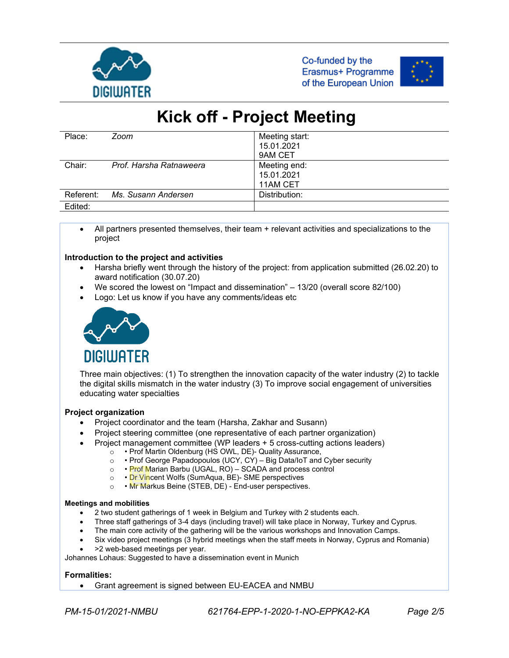





| Place:    | Zoom                    | Meeting start: |
|-----------|-------------------------|----------------|
|           |                         | 15.01.2021     |
|           |                         | 9AM CET        |
| Chair:    | Prof. Harsha Ratnaweera | Meeting end:   |
|           |                         | 15.01.2021     |
|           |                         | 11AM CET       |
| Referent: | Ms. Susann Andersen     | Distribution:  |
| Edited:   |                         |                |

• All partners presented themselves, their team + relevant activities and specializations to the project

#### **Introduction to the project and activities**

- Harsha briefly went through the history of the project: from application submitted (26.02.20) to award notification (30.07.20)
- We scored the lowest on "Impact and dissemination" 13/20 (overall score 82/100)
- Logo: Let us know if you have any comments/ideas etc



Three main objectives: (1) To strengthen the innovation capacity of the water industry (2) to tackle the digital skills mismatch in the water industry (3) To improve social engagement of universities educating water specialties

#### **Project organization**

- Project coordinator and the team (Harsha, Zakhar and Susann)
- Project steering committee (one representative of each partner organization)
- Project management committee (WP leaders + 5 cross-cutting actions leaders)
	- o → Prof Martin Oldenburg (HS OWL, DE)- Quality Assurance,<br>○ → Prof George Papadopoulos (UCY, CY) Big Data/IoT and
	- $\circ \cdot$  Prof George Papadopoulos (UCY, CY) Big Data/IoT and Cyber security  $\circ \cdot$  Prof Marian Barbu (UGAL, RO) SCADA and process control
	- Prof Marian Barbu (UGAL, RO) SCADA and process control
	- o Dr Vincent Wolfs (SumAqua, BE)- SME perspectives
	- Mr Markus Beine (STEB, DE) End-user perspectives.

#### **Meetings and mobilities**

- 2 two student gatherings of 1 week in Belgium and Turkey with 2 students each.
- Three staff gatherings of 3-4 days (including travel) will take place in Norway, Turkey and Cyprus.
- The main core activity of the gathering will be the various workshops and Innovation Camps.
- Six video project meetings (3 hybrid meetings when the staff meets in Norway, Cyprus and Romania)
- >2 web-based meetings per year.

Johannes Lohaus: Suggested to have a dissemination event in Munich

#### **Formalities:**

• Grant agreement is signed between EU-EACEA and NMBU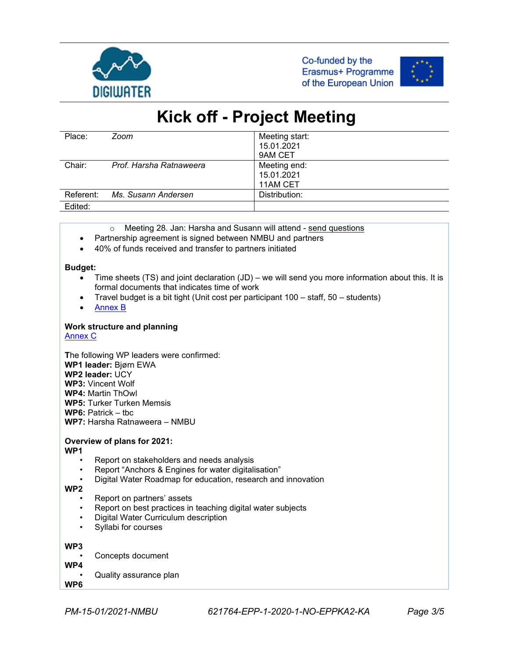





| Place:              | Zoom                    | Meeting start: |
|---------------------|-------------------------|----------------|
|                     |                         | 15.01.2021     |
|                     |                         | 9AM CET        |
| Chair:              | Prof. Harsha Ratnaweera | Meeting end:   |
|                     |                         | 15.01.2021     |
|                     |                         | 11AM CET       |
| Referent:           | Ms. Susann Andersen     | Distribution:  |
| Fdited <sup>.</sup> |                         |                |

Edited:

- o Meeting 28. Jan: Harsha and Susann will attend send questions
- Partnership agreement is signed between NMBU and partners
- 40% of funds received and transfer to partners initiated

#### **Budget:**

- Time sheets (TS) and joint declaration (JD) we will send you more information about this. It is formal documents that indicates time of work
- Travel budget is a bit tight (Unit cost per participant 100 staff, 50 students)
- [Annex B](https://eduumb-my.sharepoint.com/personal/harsha_ratnaweera_nmbu_no/Documents/Water%20Harmony%20Projects%20OneDrive/Active%20Projects/Erasmus%20KA-Digiwater/Meetings/Kick-off%2015JAN21/Digiwater-kickoff-Harsha.pdf)

#### **Work structure and planning**

[Annex C](https://eduumb-my.sharepoint.com/personal/harsha_ratnaweera_nmbu_no/Documents/Water%20Harmony%20Projects%20OneDrive/Active%20Projects/Erasmus%20KA-Digiwater/Meetings/Kick-off%2015JAN21/Digiwater%20Work-Zakhar.pdf)

**T**he following WP leaders were confirmed: **WP1 leader:** Bjørn EWA **WP2 leader:** UCY **WP3:** Vincent Wolf **WP4:** Martin ThOwl **WP5:** Turker Turken Memsis **WP6:** Patrick – tbc **WP7:** Harsha Ratnaweera – NMBU

### **Overview of plans for 2021:**

**WP1**

- Report on stakeholders and needs analysis
- Report "Anchors & Engines for water digitalisation"
- Digital Water Roadmap for education, research and innovation

**WP2**

- Report on partners' assets
- Report on best practices in teaching digital water subjects
- Digital Water Curriculum description
- Syllabi for courses

**WP3**

- Concepts document
- **WP4**
- Quality assurance plan

**WP6**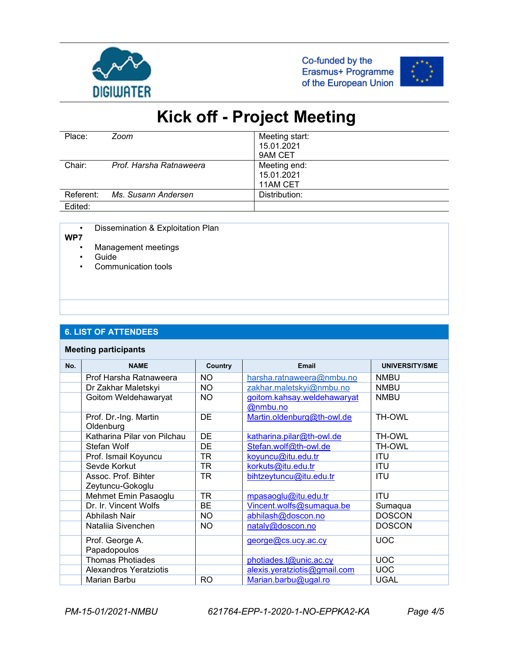





| Place:    | Zoom                    | Meeting start:<br>15.01.2021<br>9AM CET |
|-----------|-------------------------|-----------------------------------------|
| Chair:    | Prof. Harsha Ratnaweera | Meeting end:<br>15.01.2021<br>11AM CET  |
| Referent: | Ms. Susann Andersen     | Distribution:                           |
| Edited:   |                         |                                         |

• Dissemination & Exploitation Plan

**WP7**

- Management meetings
- **Guide**
- Communication tools

#### **6. LIST OF ATTENDEES**

#### **Meeting participants**

| No. | <b>NAME</b>                             | <b>Country</b> | Email                                   | <b>UNIVERSITY/SME</b> |
|-----|-----------------------------------------|----------------|-----------------------------------------|-----------------------|
|     | Prof Harsha Ratnaweera                  | <b>NO</b>      | harsha.ratnaweera@nmbu.no               | <b>NMBU</b>           |
|     | Dr Zakhar Maletskyi                     | NO.            | zakhar.maletskyi@nmbu.no                | <b>NMBU</b>           |
|     | Goitom Weldehawaryat                    | NO.            | goitom.kahsay.weldehawaryat<br>@nmbu.no | <b>NMBU</b>           |
|     | Prof. Dr.-Ing. Martin<br>Oldenburg      | <b>DE</b>      | Martin.oldenburg@th-owl.de              | <b>TH-OWL</b>         |
|     | Katharina Pilar von Pilchau             | DE             | katharina.pilar@th-owl.de               | <b>TH-OWL</b>         |
|     | Stefan Wolf                             | <b>DE</b>      | Stefan.wolf@th-owl.de                   | <b>TH-OWL</b>         |
|     | Prof. Ismail Koyuncu                    | TR             | koyuncu@itu.edu.tr                      | <b>ITU</b>            |
|     | Sevde Korkut                            | TR             | korkuts@itu.edu.tr                      | <b>ITU</b>            |
|     | Assoc. Prof. Bihter<br>Zeytuncu-Gokoglu | TR             | bihtzeytuncu@itu.edu.tr                 | <b>ITU</b>            |
|     | Mehmet Emin Pasaoglu                    | <b>TR</b>      | mpasaoglu@itu.edu.tr                    | <b>ITU</b>            |
|     | Dr. Ir. Vincent Wolfs                   | <b>BE</b>      | Vincent.wolfs@sumaqua.be                | Sumaqua               |
|     | Abhilash Nair                           | <b>NO</b>      | abhilash@doscon.no                      | <b>DOSCON</b>         |
|     | Natalija Sivenchen                      | <b>NO</b>      | nataly@doscon.no                        | <b>DOSCON</b>         |
|     | Prof. George A.                         |                | george@cs.ucy.ac.cy                     | <b>UOC</b>            |
|     | Papadopoulos                            |                |                                         |                       |
|     | <b>Thomas Photiades</b>                 |                | photiades.t@unic.ac.cy                  | <b>UOC</b>            |
|     | <b>Alexandros Yeratziotis</b>           |                | alexis.yeratziotis@gmail.com            | <b>UOC</b>            |
|     | Marian Barbu                            | <b>RO</b>      | Marian.barbu@ugal.ro                    | <b>UGAL</b>           |